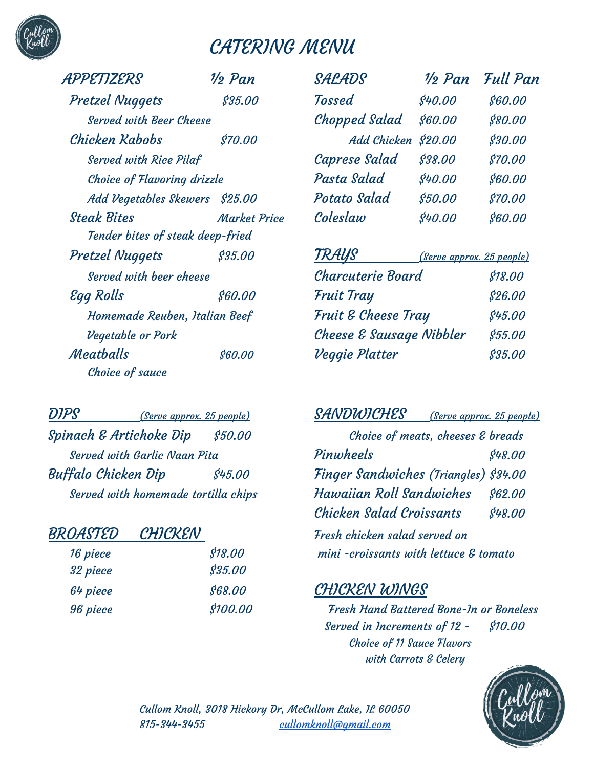# CATERING MENU

| PPETIZERS                          | ½ Pan       |
|------------------------------------|-------------|
| <b>Pretzel Nuggets</b>             | \$35.00     |
| Served with Beer Cheese            |             |
| Chicken Kabobs                     | \$70.00     |
| <b>Served with Rice Pilaf</b>      |             |
| <b>Choice of Flavoring drizzle</b> |             |
| Add Vegetables Skewers \$25.00     |             |
| <b>Steak Bites</b>                 | Market Pric |
| Tender bites of steak deep-fried   |             |
| <b>Pretzel Nuggets</b>             | \$35.00     |
| Served with beer cheese            |             |
| Egg Rolls                          | \$60.00     |
| Homemade Reuben, Italian Beef      |             |
| Vegetable or Pork                  |             |
| Meatballs                          | \$60.00     |
| Choice of sauce                    |             |

| \$18.00        | 16 piece |
|----------------|----------|
| <b>\$35.00</b> | 32 piece |
| \$68.00        | 64 piece |
| \$100.00       | 96 piece |
|                |          |

| APPETIZERS                     | $\frac{1}{2}$ Pan   | SALADS               | $\frac{1}{2}$ Pan | Full Pan |
|--------------------------------|---------------------|----------------------|-------------------|----------|
| <b>Pretzel Nuggets</b>         | \$35.00             | <b>Tossed</b>        | \$40.00           | \$60.00  |
| <b>Served with Beer Cheese</b> |                     | <b>Chopped Salad</b> | \$60.00           | \$80.00  |
| Chicken Kabobs                 | \$70.00             | Add Chicken \$20.00  |                   | \$30.00  |
| <b>Served with Rice Pilaf</b>  |                     | Caprese Salad        | \$38.00           | \$70.00  |
| Choice of Flavoring drizzle    |                     | Pasta Salad          | \$40.00           | \$60.00  |
| Add Vegetables Skewers \$25.00 |                     | Potato Salad         | \$50.00           | \$70.00  |
| <b>Steak Bites</b>             | <b>Market Price</b> | Coleslaw             | \$40.00           | \$60.00  |

| \$35.00 | TRAUS                                                    |                           |
|---------|----------------------------------------------------------|---------------------------|
|         | Charcuterie Board                                        | \$18.00                   |
| \$60.00 | <b>Fruit Tray</b>                                        | \$26.00                   |
|         | Fruit & Cheese Tray                                      | \$45.00                   |
|         | Cheese & Sausage Nibbler                                 | \$55.00                   |
| \$60.00 | Veggie Platter                                           | \$35.00                   |
|         | Served with beer cheese<br>Homemade Reuben, Italian Beef | (Serve approx. 25 people) |

DIPS (Serve approx. <sup>25</sup> people) SANDWICHES (Serve approx. <sup>25</sup> people) Spinach & Artichoke Dip \$50.00 (Spinach & Artichoke Dip \$50.00) Served with Garlic Naan Pita **Pinwheels Providence 198.00**  $Buffalo$  Chicken Dip  $$45.00$  Finger Sandwiches (Triangles)  $$34.00$ Served with homemade tortilla chips Thawaiian Roll Sandwiches \$62.00 Chicken Salad Croissants \$48.00 BROASTED CHICKEN Fresh chicken salad served on  $min$  -croissants with lettuce  $\mathcal E$  tomato

#### CHICKEN WINGS

Fresh Hand Battered Bone-In or Boneless Served in Increments of 12 - \$10.00 Choice of 11 Sauce Flavors with Carrots & Celery



Cullom Knoll, 3018 Hickory Dr, McCullom Lake, IL 60050 815-344-3455 [cullomknoll@gmail.com](mailto:cullomknoll@gmail.com)